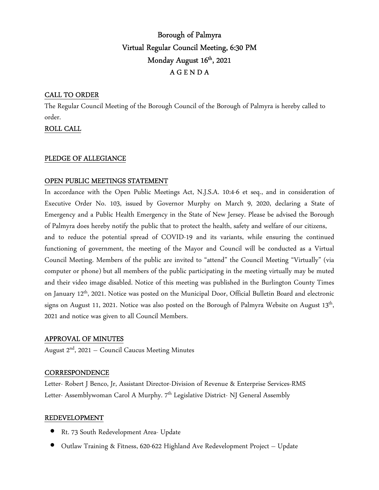# Borough of Palmyra Virtual Regular Council Meeting, 6:30 PM Monday August 16<sup>th</sup>, 2021 A G E N D A

## CALL TO ORDER

The Regular Council Meeting of the Borough Council of the Borough of Palmyra is hereby called to order.

ROLL CALL

## PLEDGE OF ALLEGIANCE

#### OPEN PUBLIC MEETINGS STATEMENT

In accordance with the Open Public Meetings Act, N.J.S.A. 10:4-6 et seq., and in consideration of Executive Order No. 103, issued by Governor Murphy on March 9, 2020, declaring a State of Emergency and a Public Health Emergency in the State of New Jersey. Please be advised the Borough of Palmyra does hereby notify the public that to protect the health, safety and welfare of our citizens,

and to reduce the potential spread of COVID-19 and its variants, while ensuring the continued functioning of government, the meeting of the Mayor and Council will be conducted as a Virtual Council Meeting. Members of the public are invited to "attend" the Council Meeting "Virtually" (via computer or phone) but all members of the public participating in the meeting virtually may be muted and their video image disabled. Notice of this meeting was published in the Burlington County Times on January 12th, 2021. Notice was posted on the Municipal Door, Official Bulletin Board and electronic signs on August 11, 2021. Notice was also posted on the Borough of Palmyra Website on August  $13^{\text{th}}$ , 2021 and notice was given to all Council Members.

#### APPROVAL OF MINUTES

August  $2<sup>nd</sup>$ , 2021 – Council Caucus Meeting Minutes

#### **CORRESPONDENCE**

Letter- Robert J Benco, Jr, Assistant Director-Division of Revenue & Enterprise Services-RMS Letter- Assemblywoman Carol A Murphy. 7<sup>th</sup> Legislative District- NJ General Assembly

#### REDEVELOPMENT

- Rt. 73 South Redevelopment Area- Update
- Outlaw Training & Fitness, 620-622 Highland Ave Redevelopment Project Update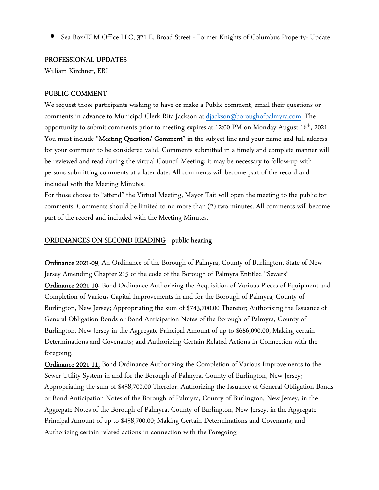• Sea Box/ELM Office LLC, 321 E. Broad Street - Former Knights of Columbus Property- Update

#### PROFESSIONAL UPDATES

William Kirchner, ERI

## PUBLIC COMMENT

We request those participants wishing to have or make a Public comment, email their questions or comments in advance to Municipal Clerk Rita Jackson at djackson@boroughofpalmyra.com. The opportunity to submit comments prior to meeting expires at  $12:00 \text{ PM}$  on Monday August  $16^{\text{th}}$ , 2021. You must include "Meeting Question/ Comment" in the subject line and your name and full address for your comment to be considered valid. Comments submitted in a timely and complete manner will be reviewed and read during the virtual Council Meeting; it may be necessary to follow-up with persons submitting comments at a later date. All comments will become part of the record and included with the Meeting Minutes.

For those choose to "attend" the Virtual Meeting, Mayor Tait will open the meeting to the public for comments. Comments should be limited to no more than (2) two minutes. All comments will become part of the record and included with the Meeting Minutes.

#### ORDINANCES ON SECOND READING public hearing

Ordinance 2021-09, An Ordinance of the Borough of Palmyra, County of Burlington, State of New Jersey Amending Chapter 215 of the code of the Borough of Palmyra Entitled "Sewers" Ordinance 2021-10, Bond Ordinance Authorizing the Acquisition of Various Pieces of Equipment and Completion of Various Capital Improvements in and for the Borough of Palmyra, County of Burlington, New Jersey; Appropriating the sum of \$743,700.00 Therefor; Authorizing the Issuance of General Obligation Bonds or Bond Anticipation Notes of the Borough of Palmyra, County of Burlington, New Jersey in the Aggregate Principal Amount of up to \$686,090.00; Making certain Determinations and Covenants; and Authorizing Certain Related Actions in Connection with the foregoing.

Ordinance 2021-11, Bond Ordinance Authorizing the Completion of Various Improvements to the Sewer Utility System in and for the Borough of Palmyra, County of Burlington, New Jersey; Appropriating the sum of \$458,700.00 Therefor: Authorizing the Issuance of General Obligation Bonds or Bond Anticipation Notes of the Borough of Palmyra, County of Burlington, New Jersey, in the Aggregate Notes of the Borough of Palmyra, County of Burlington, New Jersey, in the Aggregate Principal Amount of up to \$458,700.00; Making Certain Determinations and Covenants; and Authorizing certain related actions in connection with the Foregoing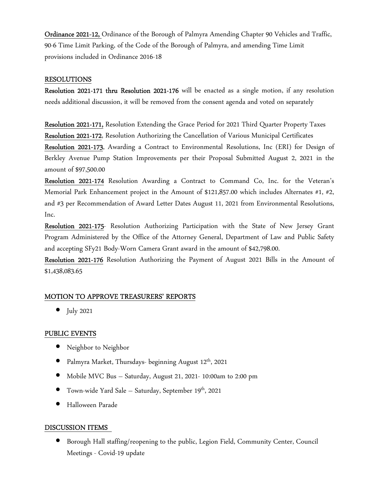Ordinance 2021-12, Ordinance of the Borough of Palmyra Amending Chapter 90 Vehicles and Traffic, 90-6 Time Limit Parking, of the Code of the Borough of Palmyra, and amending Time Limit provisions included in Ordinance 2016-18

#### RESOLUTIONS

Resolution 2021-171 thru Resolution 2021-176 will be enacted as a single motion, if any resolution needs additional discussion, it will be removed from the consent agenda and voted on separately

Resolution 2021-171, Resolution Extending the Grace Period for 2021 Third Quarter Property Taxes Resolution 2021-172, Resolution Authorizing the Cancellation of Various Municipal Certificates Resolution 2021-173, Awarding a Contract to Environmental Resolutions, Inc (ERI) for Design of Berkley Avenue Pump Station Improvements per their Proposal Submitted August 2, 2021 in the amount of \$97,500.00

Resolution 2021-174 Resolution Awarding a Contract to Command Co, Inc. for the Veteran's Memorial Park Enhancement project in the Amount of \$121,857.00 which includes Alternates #1, #2, and #3 per Recommendation of Award Letter Dates August 11, 2021 from Environmental Resolutions, Inc.

Resolution 2021-175- Resolution Authorizing Participation with the State of New Jersey Grant Program Administered by the Office of the Attorney General, Department of Law and Public Safety and accepting SFy21 Body-Worn Camera Grant award in the amount of \$42,798.00.

Resolution 2021-176 Resolution Authorizing the Payment of August 2021 Bills in the Amount of \$1,438,083.65

#### MOTION TO APPROVE TREASURERS' REPORTS

• July 2021

#### PUBLIC EVENTS

- Neighbor to Neighbor
- Palmyra Market, Thursdays- beginning August  $12^{\rm th}$ , 2021
- Mobile MVC Bus Saturday, August 21, 2021- 10:00am to 2:00 pm
- Town-wide Yard Sale Saturday, September 19th, 2021
- Halloween Parade

#### DISCUSSION ITEMS

• Borough Hall staffing/reopening to the public, Legion Field, Community Center, Council Meetings - Covid-19 update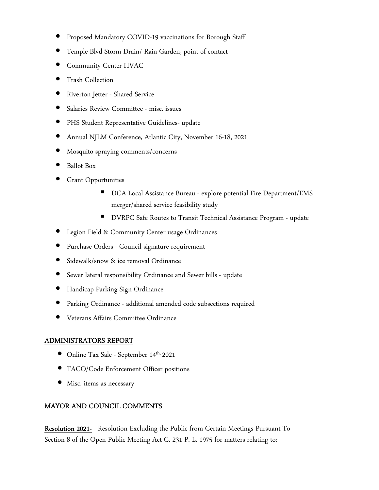- Proposed Mandatory COVID-19 vaccinations for Borough Staff
- Temple Blvd Storm Drain/ Rain Garden, point of contact
- Community Center HVAC
- Trash Collection
- Riverton Jetter Shared Service
- Salaries Review Committee misc. issues
- PHS Student Representative Guidelines- update
- Annual NJLM Conference, Atlantic City, November 16-18, 2021
- Mosquito spraying comments/concerns
- Ballot Box
- **Grant Opportunities** 
	- DCA Local Assistance Bureau explore potential Fire Department/EMS merger/shared service feasibility study
	- **DVRPC Safe Routes to Transit Technical Assistance Program update**
- Legion Field & Community Center usage Ordinances
- Purchase Orders Council signature requirement
- Sidewalk/snow & ice removal Ordinance
- Sewer lateral responsibility Ordinance and Sewer bills update
- Handicap Parking Sign Ordinance
- Parking Ordinance additional amended code subsections required
- Veterans Affairs Committee Ordinance

## ADMINISTRATORS REPORT

- Online Tax Sale September 14<sup>th,</sup> 2021
- TACO/Code Enforcement Officer positions
- Misc. items as necessary

# MAYOR AND COUNCIL COMMENTS

Resolution 2021- Resolution Excluding the Public from Certain Meetings Pursuant To Section 8 of the Open Public Meeting Act C. 231 P. L. 1975 for matters relating to: